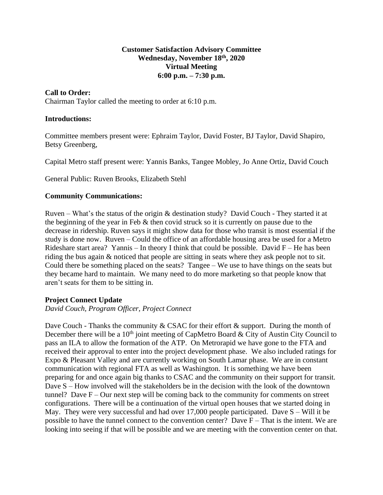#### **Customer Satisfaction Advisory Committee Wednesday, November 18 th , 2020 Virtual Meeting 6:00 p.m. – 7:30 p.m.**

# **Call to Order:**

Chairman Taylor called the meeting to order at 6:10 p.m.

#### **Introductions:**

Committee members present were: Ephraim Taylor, David Foster, BJ Taylor, David Shapiro, Betsy Greenberg,

Capital Metro staff present were: Yannis Banks, Tangee Mobley, Jo Anne Ortiz, David Couch

General Public: Ruven Brooks, Elizabeth Stehl

## **Community Communications:**

Ruven – What's the status of the origin & destination study? David Couch - They started it at the beginning of the year in Feb  $\&$  then covid struck so it is currently on pause due to the decrease in ridership. Ruven says it might show data for those who transit is most essential if the study is done now. Ruven – Could the office of an affordable housing area be used for a Metro Rideshare start area? Yannis – In theory I think that could be possible. David  $F$  – He has been riding the bus again & noticed that people are sitting in seats where they ask people not to sit. Could there be something placed on the seats? Tangee – We use to have things on the seats but they became hard to maintain. We many need to do more marketing so that people know that aren't seats for them to be sitting in.

#### **Project Connect Update**

*David Couch, Program Officer, Project Connect*

Dave Couch - Thanks the community & CSAC for their effort & support. During the month of December there will be a  $10<sup>th</sup>$  joint meeting of CapMetro Board & City of Austin City Council to pass an ILA to allow the formation of the ATP. On Metrorapid we have gone to the FTA and received their approval to enter into the project development phase. We also included ratings for Expo & Pleasant Valley and are currently working on South Lamar phase. We are in constant communication with regional FTA as well as Washington. It is something we have been preparing for and once again big thanks to CSAC and the community on their support for transit. Dave S – How involved will the stakeholders be in the decision with the look of the downtown tunnel? Dave  $F -$ Our next step will be coming back to the community for comments on street configurations. There will be a continuation of the virtual open houses that we started doing in May. They were very successful and had over 17,000 people participated. Dave  $S - Will$  it be possible to have the tunnel connect to the convention center? Dave  $F - That$  is the intent. We are looking into seeing if that will be possible and we are meeting with the convention center on that.